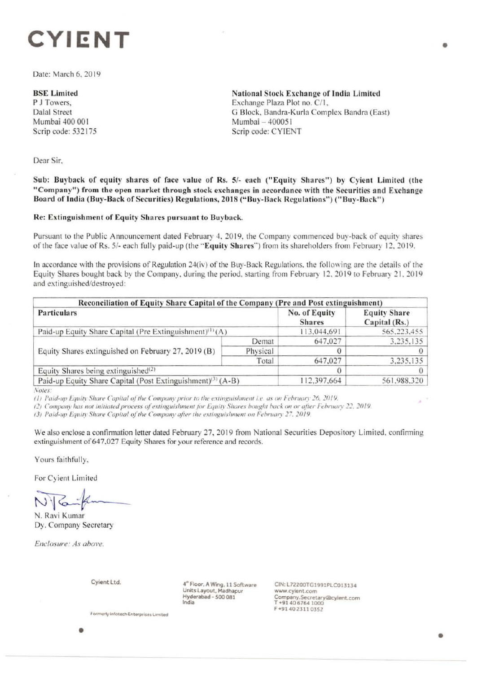# **CYIENT**

Date: March 6, 2019

### **BSE Limited**

P J Towers, Dalal Street Mumbai 400 001 Scrip code: 532175 National Stock Exchange of India Limited Exchange Plaza Plot no. C/1, G Block, Bandra-Kurla Complex Sandra (East) Mumbai - 400051 Scrip code: CYIENT

Dear Sir.

Sub: Buyback of equity shares of face value of Rs. 5/- each (" Equity Shares") by Cyient Limited (the "Company") from the open market through stock exchanges in accordance with the Securities and Exchange Board of India (Buy-Back of Securities) Regulations, 2018 ("Buy-Back Regulations") ("Buy-Back")

## Re: Extinguishment of Equity Shares pursuant to Buyback.

Pursuant to the Public Announcement dated February 4, 2019, the Company commenced buy-back of equity shares of the face value of Rs. 5/- each fully paid-up (the "Equity Shares") from its shareholders from February 12, 2019.

In accordance with the provisions of Regulation  $24(iv)$  of the Buy-Back Regulations, the following are the details of the Equity Shares bought back by the Company, during the period, starting from February 12, 2019 to February 21, 2019 and extinguished/destroyed:

| Reconciliation of Equity Share Capital of the Company (Pre and Post extinguishment)<br>Particulars<br>Paid-up Equity Share Capital (Pre Extinguishment) <sup>(1)</sup> (A) |          | No. of Equity<br><b>Shares</b> | <b>Equity Share</b><br>Capital (Rs.)<br>565,223,455 |
|----------------------------------------------------------------------------------------------------------------------------------------------------------------------------|----------|--------------------------------|-----------------------------------------------------|
|                                                                                                                                                                            |          | 113,044.691                    |                                                     |
| Equity Shares extinguished on February 27, 2019 (B)                                                                                                                        | Demat    | 647,027                        | 3,235,135                                           |
|                                                                                                                                                                            | Physical |                                |                                                     |
|                                                                                                                                                                            | Total    | 647,027                        | 3,235,135                                           |
| Equity Shares being extinguished $(2)$                                                                                                                                     |          |                                |                                                     |
| Paid-up Equity Share Capital (Post Extinguishment) <sup>(3)</sup> (A-B)                                                                                                    |          | 112,397,664                    | 561.988.320                                         |

*Sutes:* 

*(1) Paid-up Equity Share Capital of the Company prior to the extinguishment i.e. as on February 26, 2019.* 

*(2) Company has not initiated process of extinguishment for Equity Shares bought back on or after February 22, 2019.* 

13) Paid-up Equity Share Capital of the Company after the extinguishment on February 27, 2019.

We also enclose a confirmation letter dated February 27, 2019 from National Securities Depository Limited, confirming extinguishment of 647,027 Equity Shares for your reference and records.

Yours faithfully.

For Cyient Limited<br>
N. Ravi Kumar

N. Ravi Kumar Dy. Company Secretary

*Enclosure: As above.* 

**Cyient Ltd.** 

 $4°$  Floor, A Wing, 11 Software Units **Layout, Madhapur Hyderabad** - *500* **081 India** 

**CIN: L72200TG1991PLC013134**  www.cylent.com **Comiany.Secretary®cytent.com T •91406764 1000**  F **•9140 2311 0352** 

Formerly infotech Enterprises Limited

•

•